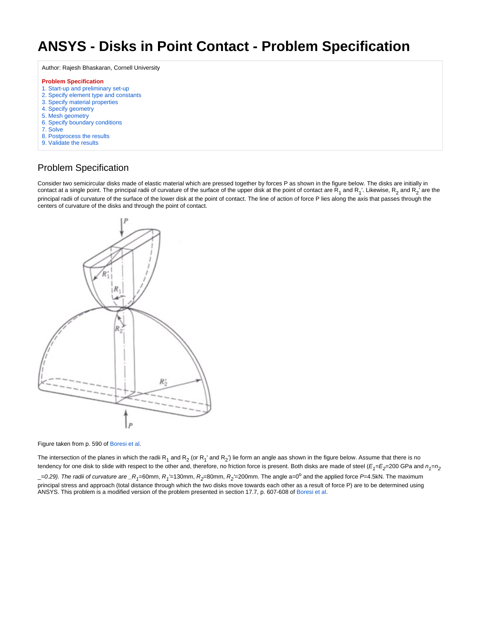## **ANSYS - Disks in Point Contact - Problem Specification**

Author: Rajesh Bhaskaran, Cornell University

## **Problem Specification**

- [1. Start-up and preliminary set-up](https://confluence.cornell.edu/display/SIMULATION/ANSYS+-+Disks+in+Point+Contact+-+Step+1)
- [2. Specify element type and constants](https://confluence.cornell.edu/display/SIMULATION/ANSYS+-+Disks+in+Point+Contact+-+Step+2)
- [3. Specify material properties](https://confluence.cornell.edu/display/SIMULATION/ANSYS+-+Disks+in+Point+Contact+-+Step+3)
- [4. Specify geometry](https://confluence.cornell.edu/display/SIMULATION/ANSYS+-+Disks+in+Point+Contact+-+Step+4)
- [5. Mesh geometry](https://confluence.cornell.edu/display/SIMULATION/ANSYS+-+Disks+in+Point+Contact+-+Step+5)
- [6. Specify boundary conditions](https://confluence.cornell.edu/display/SIMULATION/ANSYS+-+Disks+in+Point+Contact+-+Step+6)
- [7. Solve](https://confluence.cornell.edu/display/SIMULATION/ANSYS+-+Disks+in+Point+Contact+-+Step+7)
- [8. Postprocess the results](https://confluence.cornell.edu/display/SIMULATION/ANSYS+-+Disks+in+Point+Contact+-+Step+8)
- [9. Validate the results](https://confluence.cornell.edu/display/SIMULATION/ANSYS+-+Disks+in+Point+Contact+-+Step+9)

## Problem Specification

Consider two semicircular disks made of elastic material which are pressed together by forces P as shown in the figure below. The disks are initially in contact at a single point. The principal radii of curvature of the surface of the upper disk at the point of contact are  $R_1$  and  $R_1$ . Likewise,  $R_2$  and  $R_2$  are the principal radii of curvature of the surface of the lower disk at the point of contact. The line of action of force P lies along the axis that passes through the centers of curvature of the disks and through the point of contact.



Figure taken from p. 590 of [Boresi et al.](https://confluence.cornell.edu/display/SIMULATION/ANSYS+-+Disks+in+Point+Contact+-+Step+9)

The intersection of the planes in which the radii R<sub>1</sub> and R<sub>2</sub> (or R<sub>1</sub>' and R<sub>2</sub>') lie form an angle aas shown in the figure below. Assume that there is no tendency for one disk to slide with respect to the other and, therefore, no friction force is present. Both disks are made of steel (E<sub>1</sub>=E<sub>2</sub>=200 GPa and  $n_{\rm f}=n_{\rm g}$  $=$ 0.29). The radii of curvature are  $\_R$ <sub>1</sub>=60mm,  $R$ <sub>1</sub>'=130mm,  $R$ <sub>2</sub>=80mm,  $R$ <sub>2</sub>'=200mm. The angle a=0<sup>o</sup> and the applied force P=4.5kN. The maximum principal stress and approach (total distance through which the two disks move towards each other as a result of force P) are to be determined using ANSYS. This problem is a modified version of the problem presented in section 17.7, p. 607-608 of [Boresi et al](https://confluence.cornell.edu/display/SIMULATION/ANSYS+-+Disks+in+Point+Contact+-+Step+9).